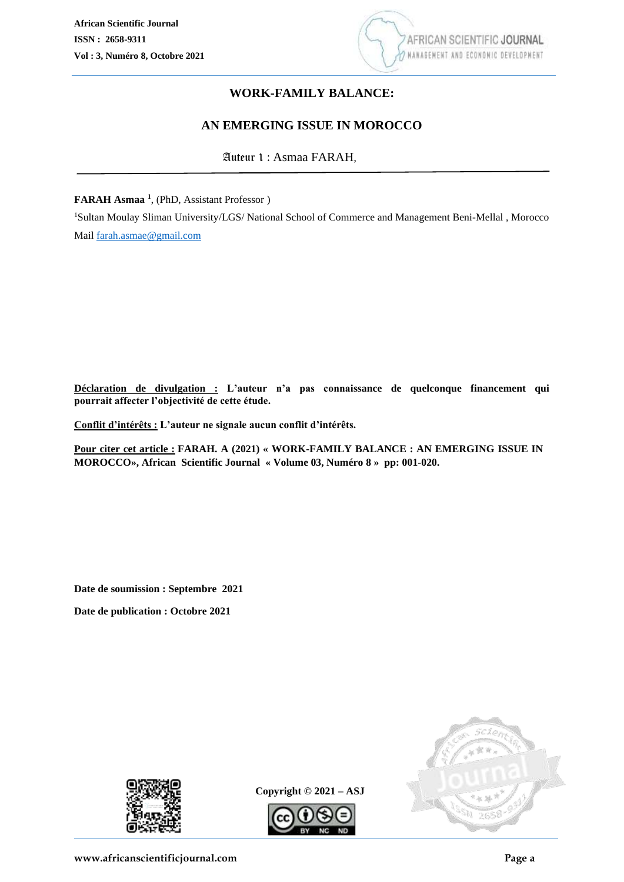

# **WORK-FAMILY BALANCE:**

# **AN EMERGING ISSUE IN MOROCCO**

Auteur 1 : Asmaa FARAH,

**FARAH Asmaa <sup>1</sup>** , (PhD, Assistant Professor )

<sup>1</sup>Sultan Moulay Sliman University/LGS/ National School of Commerce and Management Beni-Mellal , Morocco Mail [farah.asmae@gmail.com](mailto:farah.asmae@gmail.com)

**Déclaration de divulgation : L'auteur n'a pas connaissance de quelconque financement qui pourrait affecter l'objectivité de cette étude.**

**Conflit d'intérêts : L'auteur ne signale aucun conflit d'intérêts.**

**Pour citer cet article : FARAH. A (2021) « WORK-FAMILY BALANCE : AN EMERGING ISSUE IN MOROCCO», African Scientific Journal « Volume 03, Numéro 8 » pp: 001-020.**

**Date de soumission : Septembre 2021**

**Date de publication : Octobre 2021**



**Copyright © 2021 – ASJ**



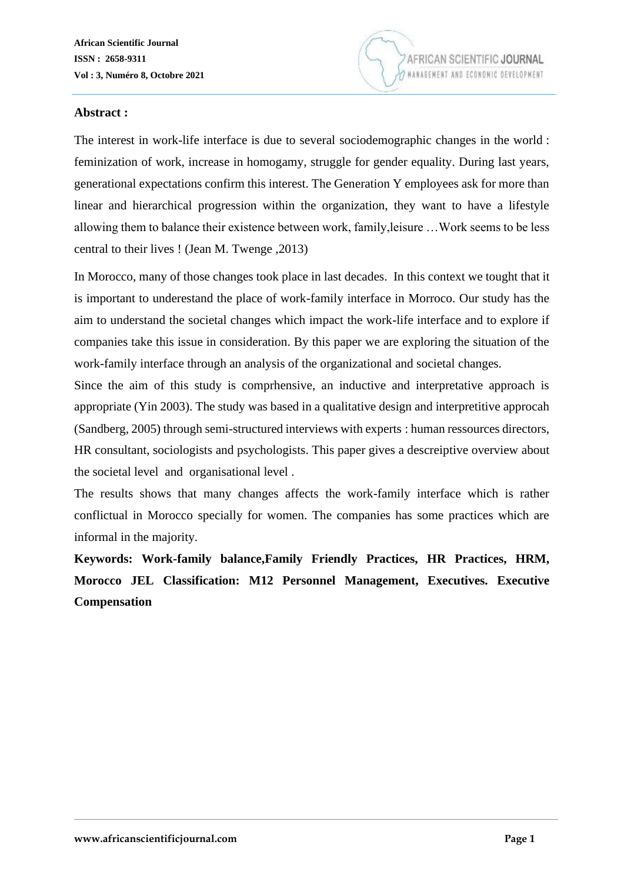

#### **Abstract :**

The interest in work-life interface is due to several sociodemographic changes in the world : feminization of work, increase in homogamy, struggle for gender equality. During last years, generational expectations confirm this interest. The Generation Y employees ask for more than linear and hierarchical progression within the organization, they want to have a lifestyle allowing them to balance their existence between work, family,leisure …Work seems to be less central to their lives ! (Jean M. Twenge ,2013)

In Morocco, many of those changes took place in last decades. In this context we tought that it is important to underestand the place of work-family interface in Morroco. Our study has the aim to understand the societal changes which impact the work-life interface and to explore if companies take this issue in consideration. By this paper we are exploring the situation of the work-family interface through an analysis of the organizational and societal changes.

Since the aim of this study is comprhensive, an inductive and interpretative approach is appropriate (Yin 2003). The study was based in a qualitative design and interpretitive approcah (Sandberg, 2005) through semi-structured interviews with experts : human ressources directors, HR consultant, sociologists and psychologists. This paper gives a descreiptive overview about the societal level and organisational level .

The results shows that many changes affects the work-family interface which is rather conflictual in Morocco specially for women. The companies has some practices which are informal in the majority.

**Keywords: Work-family balance,Family Friendly Practices, HR Practices, HRM, Morocco JEL Classification: M12 Personnel Management, Executives. Executive Compensation**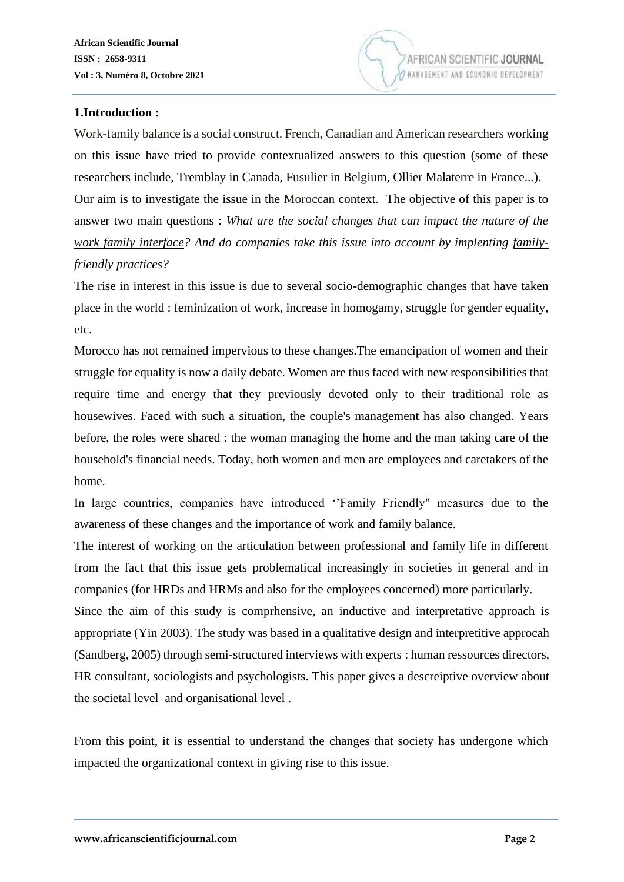

#### **1.Introduction :**

Work-family balance is a social construct. French, Canadian and American researchers working on this issue have tried to provide contextualized answers to this question (some of these researchers include, Tremblay in Canada, Fusulier in Belgium, Ollier Malaterre in France...). Our aim is to investigate the issue in the Moroccan context. The objective of this paper is to answer two main questions : *What are the social changes that can impact the nature of the work family interface? And do companies take this issue into account by implenting familyfriendly practices?* 

The rise in interest in this issue is due to several socio-demographic changes that have taken place in the world : feminization of work, increase in homogamy, struggle for gender equality, etc.

Morocco has not remained impervious to these changes.The emancipation of women and their struggle for equality is now a daily debate. Women are thus faced with new responsibilities that require time and energy that they previously devoted only to their traditional role as housewives. Faced with such a situation, the couple's management has also changed. Years before, the roles were shared : the woman managing the home and the man taking care of the household's financial needs. Today, both women and men are employees and caretakers of the home.

In large countries, companies have introduced ''Family Friendly" measures due to the awareness of these changes and the importance of work and family balance.

The interest of working on the articulation between professional and family life in different from the fact that this issue gets problematical increasingly in societies in general and in companies (for HRDs and HRMs and also for the employees concerned) more particularly.

Since the aim of this study is comprhensive, an inductive and interpretative approach is appropriate (Yin 2003). The study was based in a qualitative design and interpretitive approcah (Sandberg, 2005) through semi-structured interviews with experts : human ressources directors, HR consultant, sociologists and psychologists. This paper gives a descreiptive overview about the societal level and organisational level .

From this point, it is essential to understand the changes that society has undergone which impacted the organizational context in giving rise to this issue.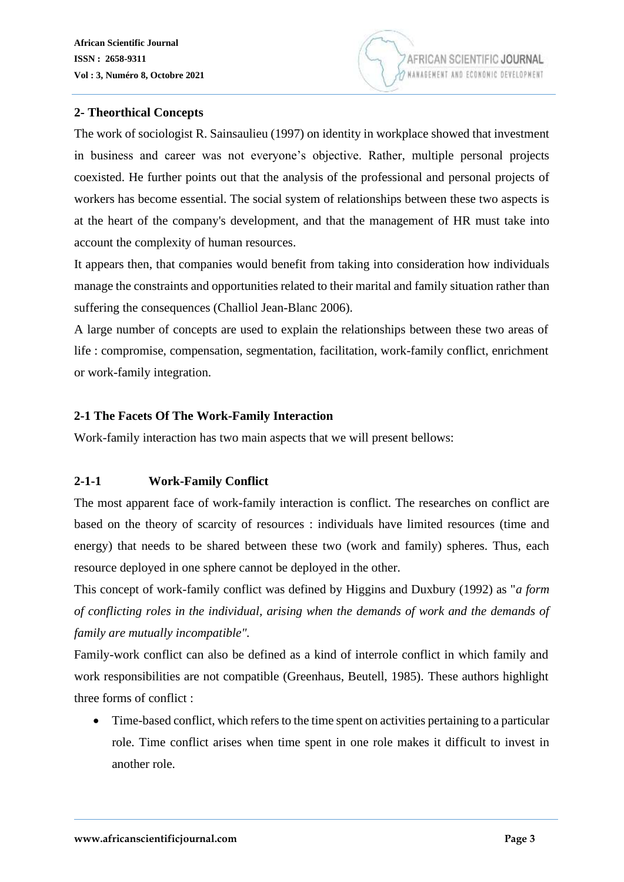#### **2- Theorthical Concepts**

The work of sociologist R. Sainsaulieu (1997) on identity in workplace showed that investment in business and career was not everyone's objective. Rather, multiple personal projects coexisted. He further points out that the analysis of the professional and personal projects of workers has become essential. The social system of relationships between these two aspects is at the heart of the company's development, and that the management of HR must take into account the complexity of human resources.

It appears then, that companies would benefit from taking into consideration how individuals manage the constraints and opportunities related to their marital and family situation rather than suffering the consequences (Challiol Jean-Blanc 2006).

A large number of concepts are used to explain the relationships between these two areas of life : compromise, compensation, segmentation, facilitation, work-family conflict, enrichment or work-family integration.

#### **2-1 The Facets Of The Work-Family Interaction**

Work-family interaction has two main aspects that we will present bellows:

## **2-1-1 Work-Family Conflict**

The most apparent face of work-family interaction is conflict. The researches on conflict are based on the theory of scarcity of resources : individuals have limited resources (time and energy) that needs to be shared between these two (work and family) spheres. Thus, each resource deployed in one sphere cannot be deployed in the other.

This concept of work-family conflict was defined by Higgins and Duxbury (1992) as "*a form of conflicting roles in the individual, arising when the demands of work and the demands of family are mutually incompatible".*

Family-work conflict can also be defined as a kind of interrole conflict in which family and work responsibilities are not compatible (Greenhaus, Beutell, 1985). These authors highlight three forms of conflict :

• Time-based conflict, which refers to the time spent on activities pertaining to a particular role. Time conflict arises when time spent in one role makes it difficult to invest in another role.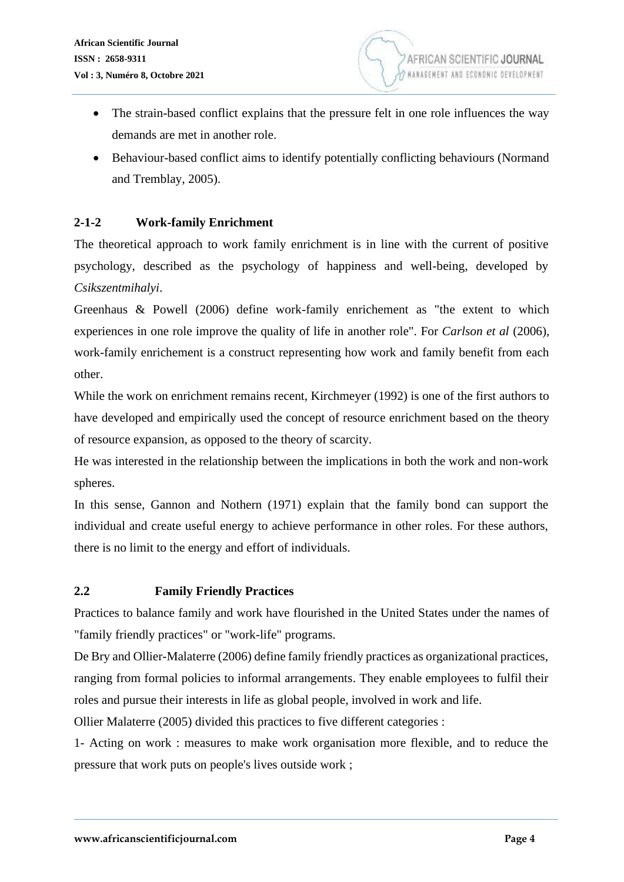- The strain-based conflict explains that the pressure felt in one role influences the way demands are met in another role.
- Behaviour-based conflict aims to identify potentially conflicting behaviours (Normand and Tremblay, 2005).

# **2-1-2 Work-family Enrichment**

The theoretical approach to work family enrichment is in line with the current of positive psychology, described as the psychology of happiness and well-being, developed by *Csikszentmihalyi*.

Greenhaus & Powell (2006) define work-family enrichement as "the extent to which experiences in one role improve the quality of life in another role". For *Carlson et al* (2006), work-family enrichement is a construct representing how work and family benefit from each other.

While the work on enrichment remains recent, Kirchmeyer (1992) is one of the first authors to have developed and empirically used the concept of resource enrichment based on the theory of resource expansion, as opposed to the theory of scarcity.

He was interested in the relationship between the implications in both the work and non-work spheres.

In this sense, Gannon and Nothern (1971) explain that the family bond can support the individual and create useful energy to achieve performance in other roles. For these authors, there is no limit to the energy and effort of individuals.

## **2.2 Family Friendly Practices**

Practices to balance family and work have flourished in the United States under the names of "family friendly practices" or "work-life" programs.

De Bry and Ollier-Malaterre (2006) define family friendly practices as organizational practices, ranging from formal policies to informal arrangements. They enable employees to fulfil their roles and pursue their interests in life as global people, involved in work and life.

Ollier Malaterre (2005) divided this practices to five different categories :

1- Acting on work : measures to make work organisation more flexible, and to reduce the pressure that work puts on people's lives outside work ;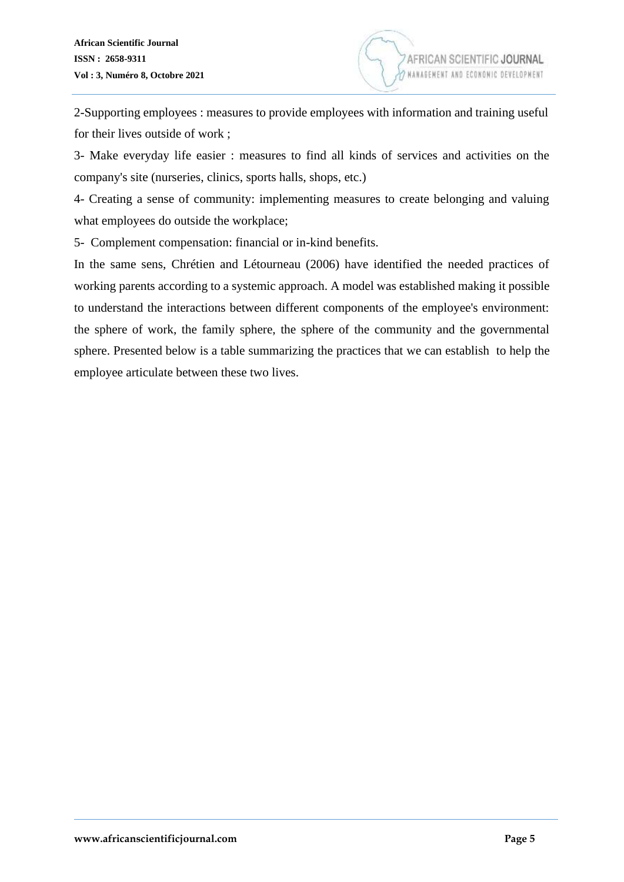2-Supporting employees : measures to provide employees with information and training useful for their lives outside of work ;

3- Make everyday life easier : measures to find all kinds of services and activities on the company's site (nurseries, clinics, sports halls, shops, etc.)

4- Creating a sense of community: implementing measures to create belonging and valuing what employees do outside the workplace;

5- Complement compensation: financial or in-kind benefits.

In the same sens, Chrétien and Létourneau (2006) have identified the needed practices of working parents according to a systemic approach. A model was established making it possible to understand the interactions between different components of the employee's environment: the sphere of work, the family sphere, the sphere of the community and the governmental sphere. Presented below is a table summarizing the practices that we can establish to help the employee articulate between these two lives.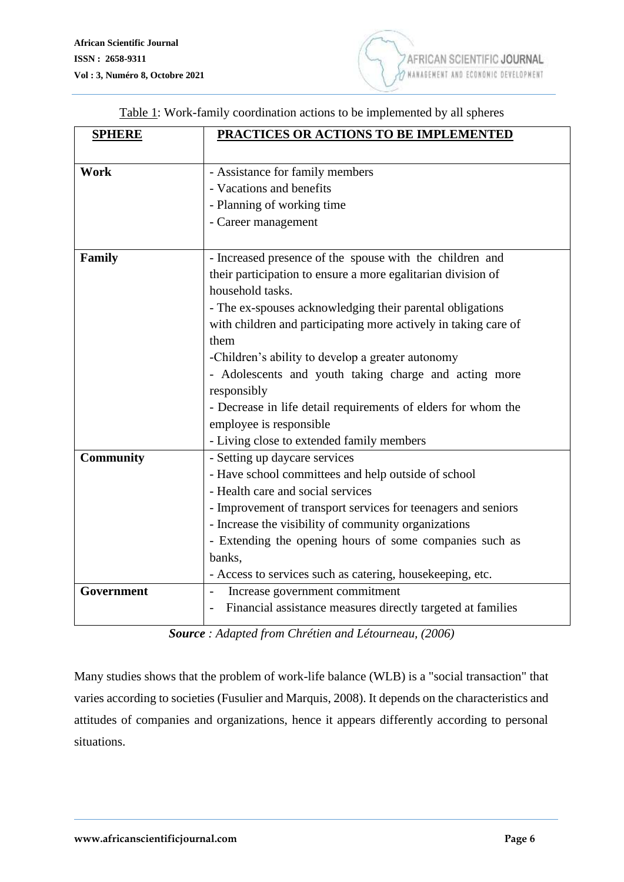| Table 1: Work-family coordination actions to be implemented by all spheres |  |  |  |  |  |  |  |
|----------------------------------------------------------------------------|--|--|--|--|--|--|--|
|----------------------------------------------------------------------------|--|--|--|--|--|--|--|

| <b>SPHERE</b>    | PRACTICES OR ACTIONS TO BE IMPLEMENTED                          |  |  |  |  |
|------------------|-----------------------------------------------------------------|--|--|--|--|
|                  |                                                                 |  |  |  |  |
| Work             | - Assistance for family members                                 |  |  |  |  |
|                  | - Vacations and benefits                                        |  |  |  |  |
|                  | - Planning of working time                                      |  |  |  |  |
|                  | - Career management                                             |  |  |  |  |
|                  |                                                                 |  |  |  |  |
| <b>Family</b>    | - Increased presence of the spouse with the children and        |  |  |  |  |
|                  | their participation to ensure a more egalitarian division of    |  |  |  |  |
|                  | household tasks.                                                |  |  |  |  |
|                  | - The ex-spouses acknowledging their parental obligations       |  |  |  |  |
|                  | with children and participating more actively in taking care of |  |  |  |  |
|                  | them                                                            |  |  |  |  |
|                  | -Children's ability to develop a greater autonomy               |  |  |  |  |
|                  | - Adolescents and youth taking charge and acting more           |  |  |  |  |
|                  | responsibly                                                     |  |  |  |  |
|                  | - Decrease in life detail requirements of elders for whom the   |  |  |  |  |
|                  | employee is responsible                                         |  |  |  |  |
|                  | - Living close to extended family members                       |  |  |  |  |
| <b>Community</b> | - Setting up daycare services                                   |  |  |  |  |
|                  | - Have school committees and help outside of school             |  |  |  |  |
|                  | - Health care and social services                               |  |  |  |  |
|                  | - Improvement of transport services for teenagers and seniors   |  |  |  |  |
|                  | - Increase the visibility of community organizations            |  |  |  |  |
|                  | - Extending the opening hours of some companies such as         |  |  |  |  |
|                  | banks,                                                          |  |  |  |  |
|                  | - Access to services such as catering, housekeeping, etc.       |  |  |  |  |
| Government       | Increase government commitment<br>$\overline{\phantom{a}}$      |  |  |  |  |
|                  | Financial assistance measures directly targeted at families     |  |  |  |  |
|                  |                                                                 |  |  |  |  |

*Source : Adapted from Chrétien and Létourneau, (2006)*

Many studies shows that the problem of work-life balance (WLB) is a "social transaction" that varies according to societies (Fusulier and Marquis, 2008). It depends on the characteristics and attitudes of companies and organizations, hence it appears differently according to personal situations.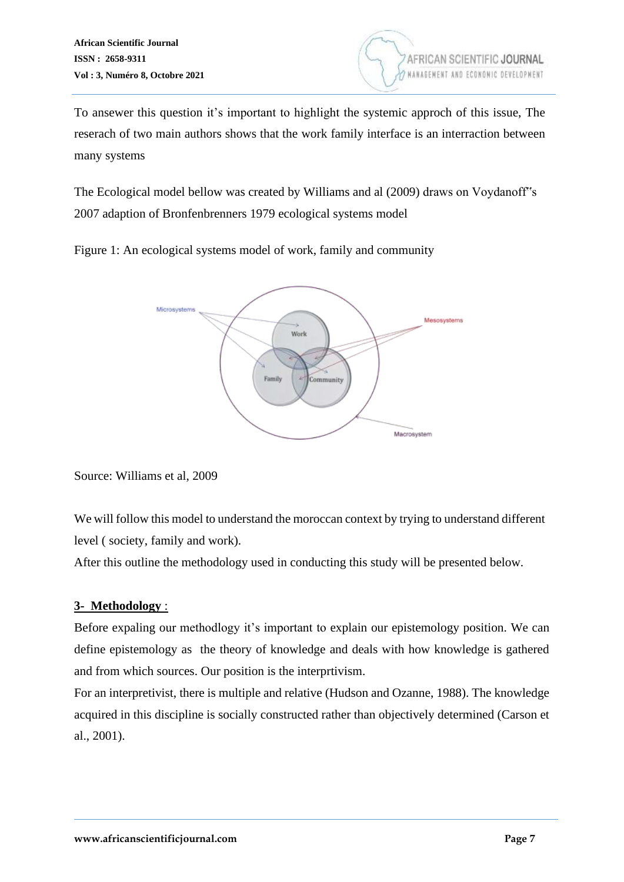

To ansewer this question it's important to highlight the systemic approch of this issue, The reserach of two main authors shows that the work family interface is an interraction between many systems

The Ecological model bellow was created by Williams and al (2009) draws on Voydanoff"s 2007 adaption of Bronfenbrenners 1979 ecological systems model

Figure 1: An ecological systems model of work, family and community



Source: Williams et al, 2009

We will follow this model to understand the moroccan context by trying to understand different level ( society, family and work).

After this outline the methodology used in conducting this study will be presented below.

## **3- Methodology** :

Before expaling our methodlogy it's important to explain our epistemology position. We can define epistemology as the theory of knowledge and deals with how knowledge is gathered and from which sources. Our position is the interprtivism.

For an interpretivist, there is multiple and relative (Hudson and Ozanne, 1988). The knowledge acquired in this discipline is socially constructed rather than objectively determined (Carson et al., 2001).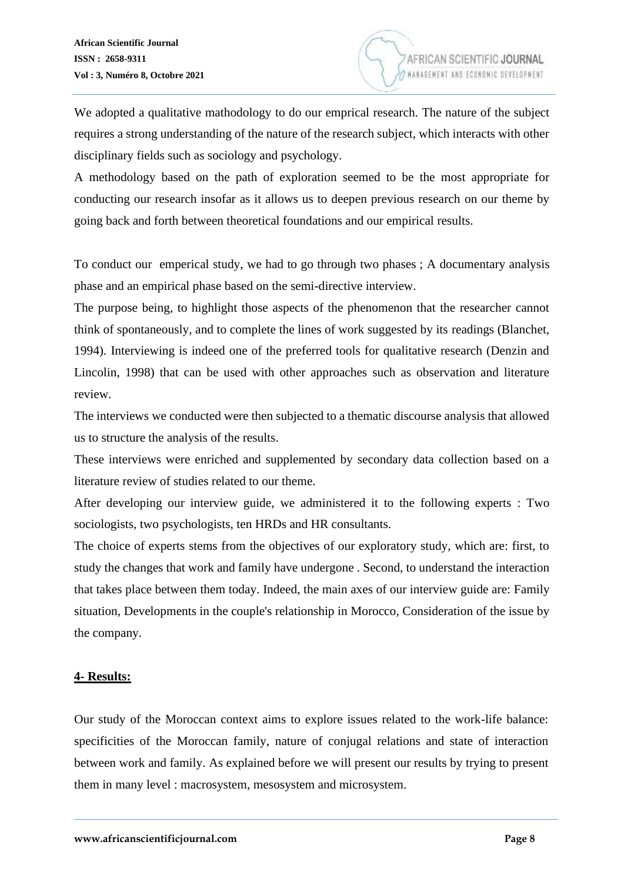We adopted a qualitative mathodology to do our emprical research. The nature of the subject requires a strong understanding of the nature of the research subject, which interacts with other disciplinary fields such as sociology and psychology.

A methodology based on the path of exploration seemed to be the most appropriate for conducting our research insofar as it allows us to deepen previous research on our theme by going back and forth between theoretical foundations and our empirical results.

To conduct our emperical study, we had to go through two phases ; A documentary analysis phase and an empirical phase based on the semi-directive interview.

The purpose being, to highlight those aspects of the phenomenon that the researcher cannot think of spontaneously, and to complete the lines of work suggested by its readings (Blanchet, 1994). Interviewing is indeed one of the preferred tools for qualitative research (Denzin and Lincolin, 1998) that can be used with other approaches such as observation and literature review.

The interviews we conducted were then subjected to a thematic discourse analysis that allowed us to structure the analysis of the results.

These interviews were enriched and supplemented by secondary data collection based on a literature review of studies related to our theme.

After developing our interview guide, we administered it to the following experts : Two sociologists, two psychologists, ten HRDs and HR consultants.

The choice of experts stems from the objectives of our exploratory study, which are: first, to study the changes that work and family have undergone . Second, to understand the interaction that takes place between them today. Indeed, the main axes of our interview guide are: Family situation, Developments in the couple's relationship in Morocco, Consideration of the issue by the company.

#### **4- Results:**

Our study of the Moroccan context aims to explore issues related to the work-life balance: specificities of the Moroccan family, nature of conjugal relations and state of interaction between work and family. As explained before we will present our results by trying to present them in many level : macrosystem, mesosystem and microsystem.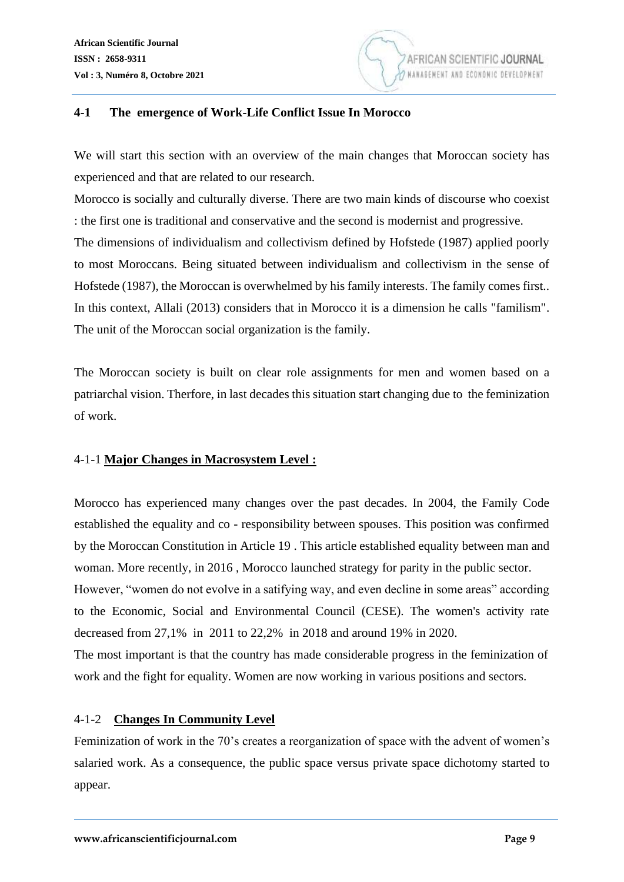

#### **4-1 The emergence of Work-Life Conflict Issue In Morocco**

We will start this section with an overview of the main changes that Moroccan society has experienced and that are related to our research.

Morocco is socially and culturally diverse. There are two main kinds of discourse who coexist : the first one is traditional and conservative and the second is modernist and progressive. The dimensions of individualism and collectivism defined by Hofstede (1987) applied poorly to most Moroccans. Being situated between individualism and collectivism in the sense of Hofstede (1987), the Moroccan is overwhelmed by his family interests. The family comes first.. In this context, Allali (2013) considers that in Morocco it is a dimension he calls "familism". The unit of the Moroccan social organization is the family.

The Moroccan society is built on clear role assignments for men and women based on a patriarchal vision. Therfore, in last decades this situation start changing due to the feminization of work.

## 4-1-1 **Major Changes in Macrosystem Level :**

Morocco has experienced many changes over the past decades. In 2004, the Family Code established the equality and co - responsibility between spouses. This position was confirmed by the Moroccan Constitution in Article 19 . This article established equality between man and woman. More recently, in 2016 , Morocco launched strategy for parity in the public sector. However, "women do not evolve in a satifying way, and even decline in some areas" according

to the Economic, Social and Environmental Council (CESE). The women's activity rate decreased from 27,1% in 2011 to 22,2% in 2018 and around 19% in 2020.

The most important is that the country has made considerable progress in the feminization of work and the fight for equality. Women are now working in various positions and sectors.

## 4-1-2 **Changes In Community Level**

Feminization of work in the 70's creates a reorganization of space with the advent of women's salaried work. As a consequence, the public space versus private space dichotomy started to appear.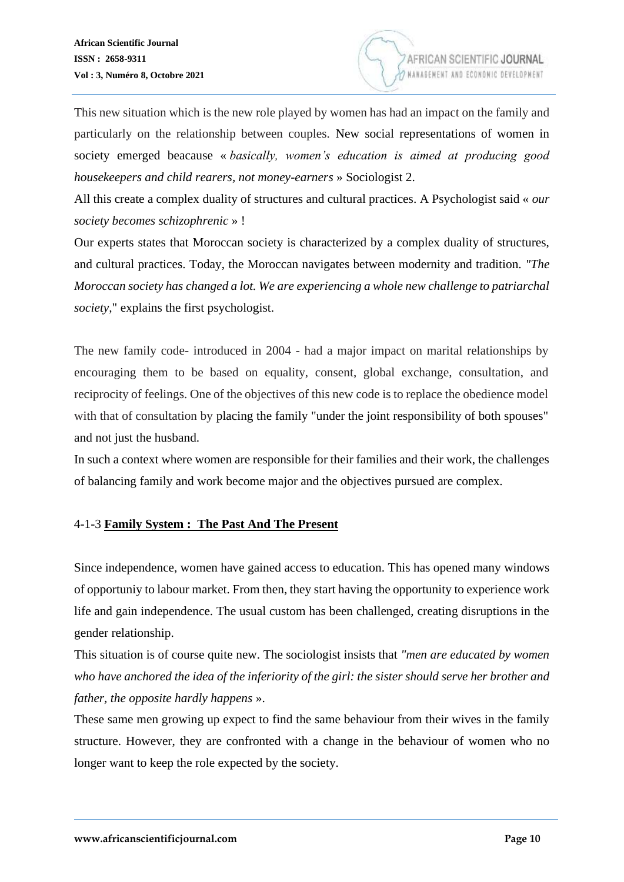

This new situation which is the new role played by women has had an impact on the family and particularly on the relationship between couples. New social representations of women in society emerged beacause « *basically, women's education is aimed at producing good housekeepers and child rearers, not money-earners* » Sociologist 2.

All this create a complex duality of structures and cultural practices. A Psychologist said « *our society becomes schizophrenic* » !

Our experts states that Moroccan society is characterized by a complex duality of structures, and cultural practices. Today, the Moroccan navigates between modernity and tradition. *"The Moroccan society has changed a lot. We are experiencing a whole new challenge to patriarchal society,*" explains the first psychologist.

The new family code- introduced in 2004 - had a major impact on marital relationships by encouraging them to be based on equality, consent, global exchange, consultation, and reciprocity of feelings. One of the objectives of this new code is to replace the obedience model with that of consultation by placing the family "under the joint responsibility of both spouses" and not just the husband.

In such a context where women are responsible for their families and their work, the challenges of balancing family and work become major and the objectives pursued are complex.

## 4-1-3 **Family System : The Past And The Present**

Since independence, women have gained access to education. This has opened many windows of opportuniy to labour market. From then, they start having the opportunity to experience work life and gain independence. The usual custom has been challenged, creating disruptions in the gender relationship.

This situation is of course quite new. The sociologist insists that *"men are educated by women who have anchored the idea of the inferiority of the girl: the sister should serve her brother and father, the opposite hardly happens* ».

These same men growing up expect to find the same behaviour from their wives in the family structure. However, they are confronted with a change in the behaviour of women who no longer want to keep the role expected by the society.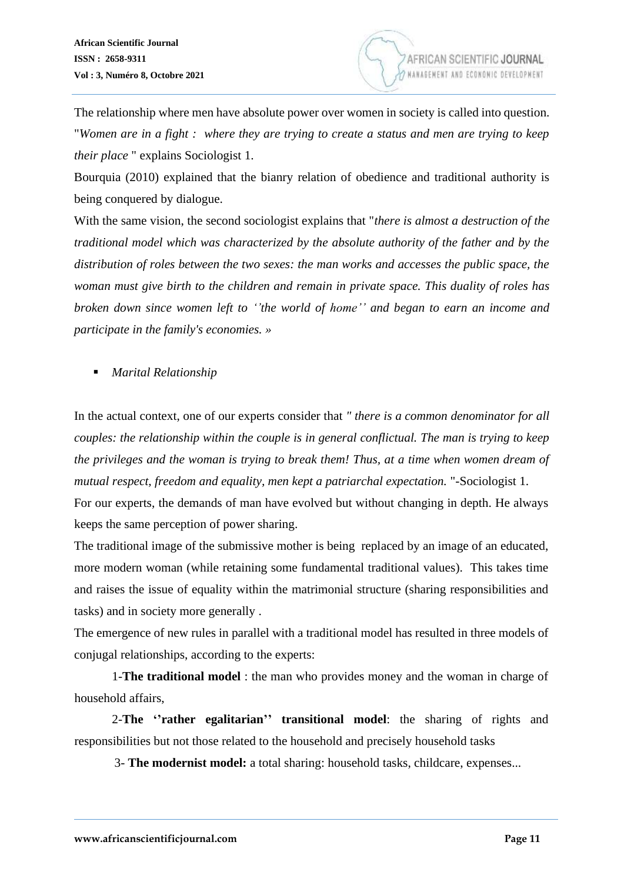**AFRICAN SCIEN** 

The relationship where men have absolute power over women in society is called into question. "*Women are in a fight : where they are trying to create a status and men are trying to keep their place* " explains Sociologist 1.

Bourquia (2010) explained that the bianry relation of obedience and traditional authority is being conquered by dialogue.

With the same vision, the second sociologist explains that "*there is almost a destruction of the traditional model which was characterized by the absolute authority of the father and by the distribution of roles between the two sexes: the man works and accesses the public space, the woman must give birth to the children and remain in private space. This duality of roles has broken down since women left to ''the world of home'' and began to earn an income and participate in the family's economies. »*

■ *Marital Relationship* 

In the actual context, one of our experts consider that *" there is a common denominator for all couples: the relationship within the couple is in general conflictual. The man is trying to keep the privileges and the woman is trying to break them! Thus, at a time when women dream of mutual respect, freedom and equality, men kept a patriarchal expectation.* "-Sociologist 1.

For our experts, the demands of man have evolved but without changing in depth. He always keeps the same perception of power sharing.

The traditional image of the submissive mother is being replaced by an image of an educated, more modern woman (while retaining some fundamental traditional values). This takes time and raises the issue of equality within the matrimonial structure (sharing responsibilities and tasks) and in society more generally .

The emergence of new rules in parallel with a traditional model has resulted in three models of conjugal relationships, according to the experts:

1-**The traditional model** : the man who provides money and the woman in charge of household affairs,

2-**The ''rather egalitarian'' transitional model**: the sharing of rights and responsibilities but not those related to the household and precisely household tasks

3- **The modernist model:** a total sharing: household tasks, childcare, expenses...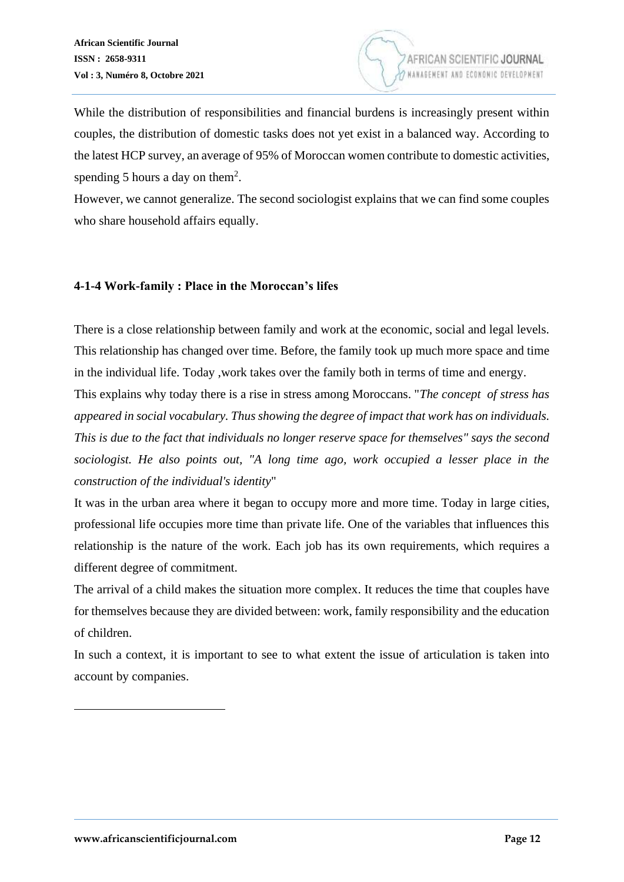

While the distribution of responsibilities and financial burdens is increasingly present within couples, the distribution of domestic tasks does not yet exist in a balanced way. According to the latest HCP survey, an average of 95% of Moroccan women contribute to domestic activities, spending 5 hours a day on them<sup>2</sup>.

However, we cannot generalize. The second sociologist explains that we can find some couples who share household affairs equally.

#### **4-1-4 Work-family : Place in the Moroccan's lifes**

There is a close relationship between family and work at the economic, social and legal levels. This relationship has changed over time. Before, the family took up much more space and time in the individual life. Today ,work takes over the family both in terms of time and energy.

This explains why today there is a rise in stress among Moroccans. "*The concept of stress has appeared in social vocabulary. Thus showing the degree of impact that work has on individuals. This is due to the fact that individuals no longer reserve space for themselves" says the second sociologist. He also points out, "A long time ago, work occupied a lesser place in the construction of the individual's identity*"

It was in the urban area where it began to occupy more and more time. Today in large cities, professional life occupies more time than private life. One of the variables that influences this relationship is the nature of the work. Each job has its own requirements, which requires a different degree of commitment.

The arrival of a child makes the situation more complex. It reduces the time that couples have for themselves because they are divided between: work, family responsibility and the education of children.

In such a context, it is important to see to what extent the issue of articulation is taken into account by companies.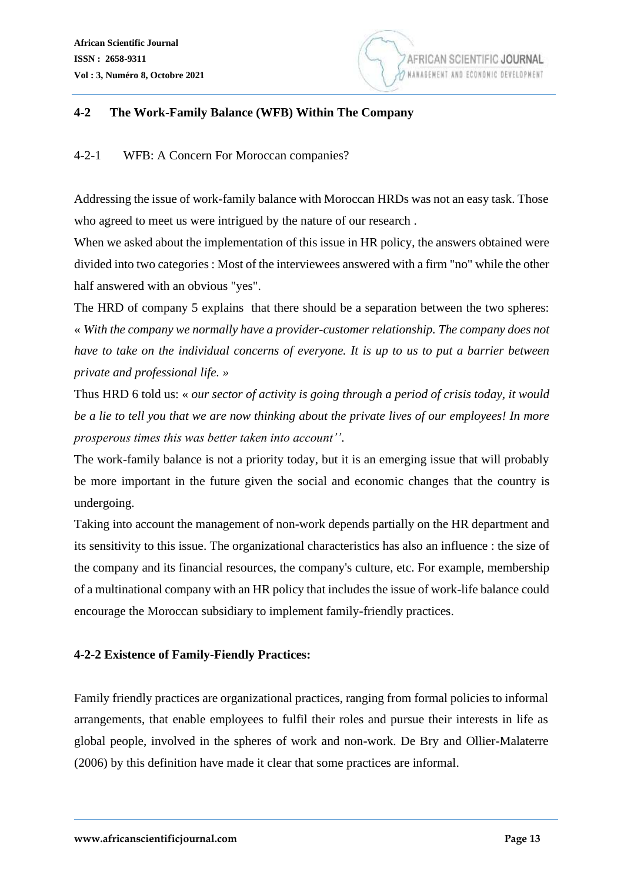

#### **4-2 The Work-Family Balance (WFB) Within The Company**

#### 4-2-1 WFB: A Concern For Moroccan companies?

Addressing the issue of work-family balance with Moroccan HRDs was not an easy task. Those who agreed to meet us were intrigued by the nature of our research .

When we asked about the implementation of this issue in HR policy, the answers obtained were divided into two categories : Most of the interviewees answered with a firm "no" while the other half answered with an obvious "yes".

The HRD of company 5 explains that there should be a separation between the two spheres: « *With the company we normally have a provider-customer relationship. The company does not have to take on the individual concerns of everyone. It is up to us to put a barrier between private and professional life. »*

Thus HRD 6 told us: « *our sector of activity is going through a period of crisis today, it would be a lie to tell you that we are now thinking about the private lives of our employees! In more prosperous times this was better taken into account''*.

The work-family balance is not a priority today, but it is an emerging issue that will probably be more important in the future given the social and economic changes that the country is undergoing.

Taking into account the management of non-work depends partially on the HR department and its sensitivity to this issue. The organizational characteristics has also an influence : the size of the company and its financial resources, the company's culture, etc. For example, membership of a multinational company with an HR policy that includes the issue of work-life balance could encourage the Moroccan subsidiary to implement family-friendly practices.

## **4-2-2 Existence of Family-Fiendly Practices:**

Family friendly practices are organizational practices, ranging from formal policies to informal arrangements, that enable employees to fulfil their roles and pursue their interests in life as global people, involved in the spheres of work and non-work. De Bry and Ollier-Malaterre (2006) by this definition have made it clear that some practices are informal.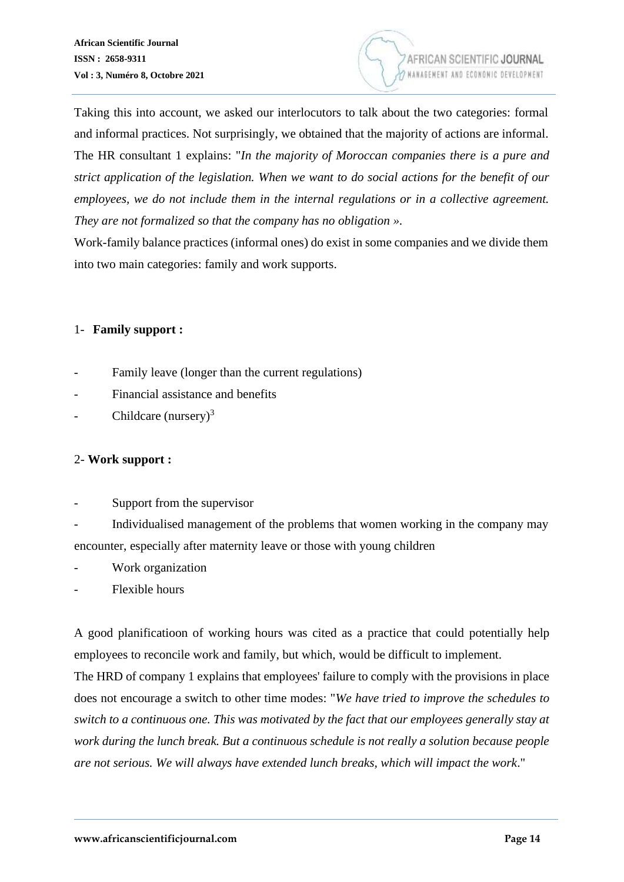

Taking this into account, we asked our interlocutors to talk about the two categories: formal and informal practices. Not surprisingly, we obtained that the majority of actions are informal. The HR consultant 1 explains: "*In the majority of Moroccan companies there is a pure and strict application of the legislation. When we want to do social actions for the benefit of our employees, we do not include them in the internal regulations or in a collective agreement. They are not formalized so that the company has no obligation ».*

Work-family balance practices (informal ones) do exist in some companies and we divide them into two main categories: family and work supports.

## 1- **Family support :**

- Family leave (longer than the current regulations)
- Financial assistance and benefits
- Childcare (nursery) $3$

## 2- **Work support :**

Support from the supervisor

Individualised management of the problems that women working in the company may encounter, especially after maternity leave or those with young children

- Work organization
- Flexible hours

A good planificatioon of working hours was cited as a practice that could potentially help employees to reconcile work and family, but which, would be difficult to implement.

The HRD of company 1 explains that employees' failure to comply with the provisions in place does not encourage a switch to other time modes: "*We have tried to improve the schedules to switch to a continuous one. This was motivated by the fact that our employees generally stay at work during the lunch break. But a continuous schedule is not really a solution because people are not serious. We will always have extended lunch breaks, which will impact the work*."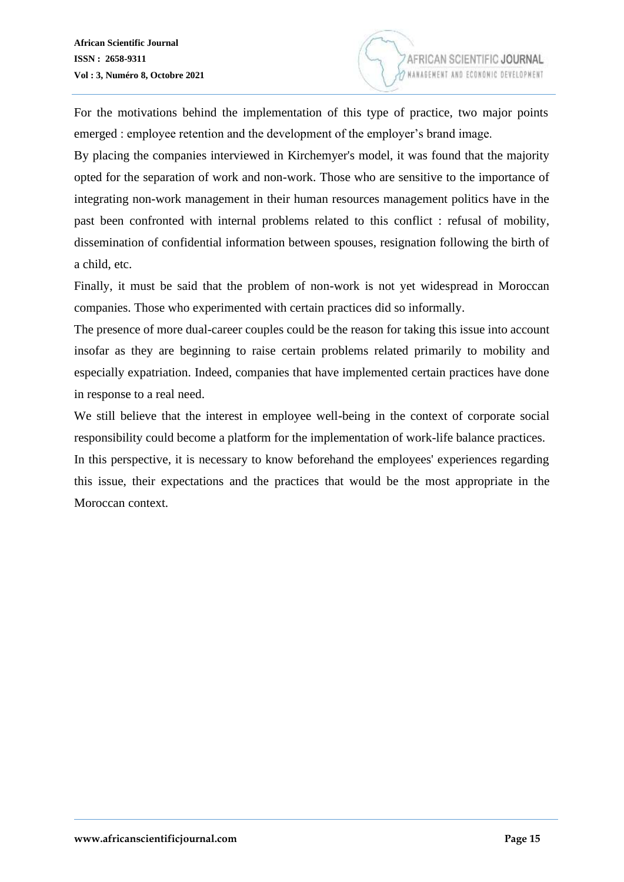For the motivations behind the implementation of this type of practice, two major points emerged : employee retention and the development of the employer's brand image.

By placing the companies interviewed in Kirchemyer's model, it was found that the majority opted for the separation of work and non-work. Those who are sensitive to the importance of integrating non-work management in their human resources management politics have in the past been confronted with internal problems related to this conflict : refusal of mobility, dissemination of confidential information between spouses, resignation following the birth of a child, etc.

Finally, it must be said that the problem of non-work is not yet widespread in Moroccan companies. Those who experimented with certain practices did so informally.

The presence of more dual-career couples could be the reason for taking this issue into account insofar as they are beginning to raise certain problems related primarily to mobility and especially expatriation. Indeed, companies that have implemented certain practices have done in response to a real need.

We still believe that the interest in employee well-being in the context of corporate social responsibility could become a platform for the implementation of work-life balance practices. In this perspective, it is necessary to know beforehand the employees' experiences regarding this issue, their expectations and the practices that would be the most appropriate in the Moroccan context.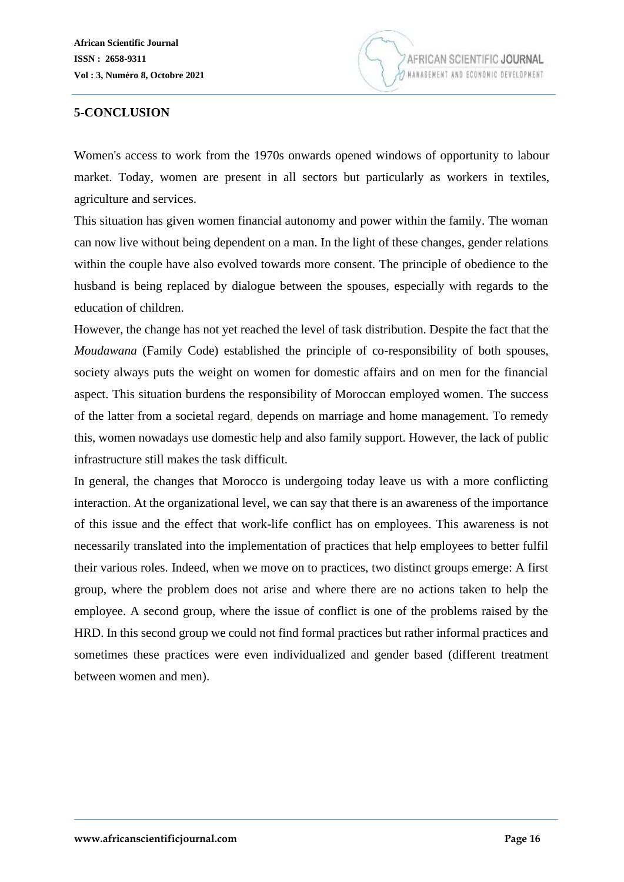

# **5-CONCLUSION**

Women's access to work from the 1970s onwards opened windows of opportunity to labour market. Today, women are present in all sectors but particularly as workers in textiles, agriculture and services.

This situation has given women financial autonomy and power within the family. The woman can now live without being dependent on a man. In the light of these changes, gender relations within the couple have also evolved towards more consent. The principle of obedience to the husband is being replaced by dialogue between the spouses, especially with regards to the education of children.

However, the change has not yet reached the level of task distribution. Despite the fact that the *Moudawana* (Family Code) established the principle of co-responsibility of both spouses, society always puts the weight on women for domestic affairs and on men for the financial aspect. This situation burdens the responsibility of Moroccan employed women. The success of the latter from a societal regard, depends on marriage and home management. To remedy this, women nowadays use domestic help and also family support. However, the lack of public infrastructure still makes the task difficult.

In general, the changes that Morocco is undergoing today leave us with a more conflicting interaction. At the organizational level, we can say that there is an awareness of the importance of this issue and the effect that work-life conflict has on employees. This awareness is not necessarily translated into the implementation of practices that help employees to better fulfil their various roles. Indeed, when we move on to practices, two distinct groups emerge: A first group, where the problem does not arise and where there are no actions taken to help the employee. A second group, where the issue of conflict is one of the problems raised by the HRD. In this second group we could not find formal practices but rather informal practices and sometimes these practices were even individualized and gender based (different treatment between women and men).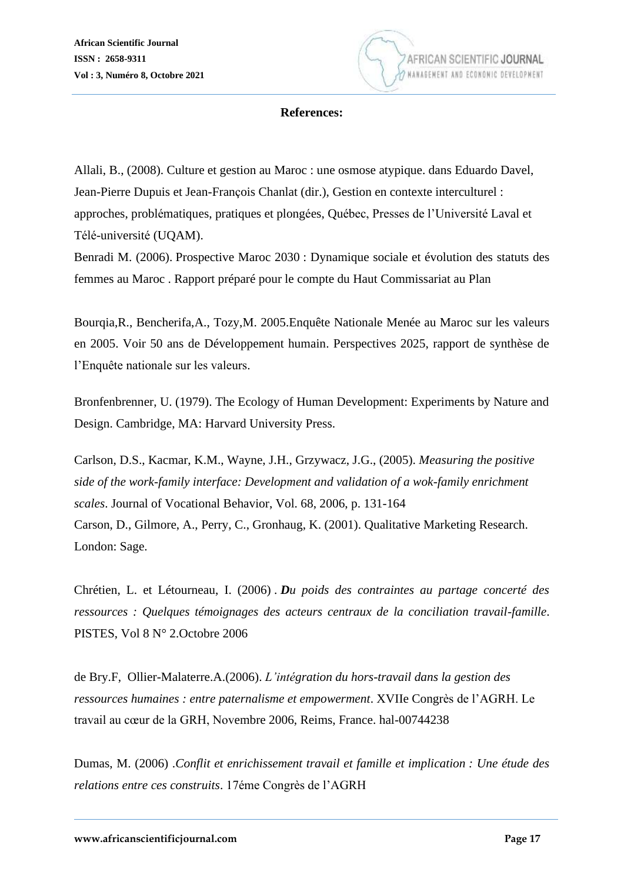

#### **References:**

Allali, B., (2008). Culture et gestion au Maroc : une osmose atypique. dans Eduardo Davel, Jean-Pierre Dupuis et Jean-François Chanlat (dir.), Gestion en contexte interculturel : approches, problématiques, pratiques et plongées, Québec, Presses de l'Université Laval et Télé-université (UQAM).

Benradi M. (2006). Prospective Maroc 2030 : Dynamique sociale et évolution des statuts des femmes au Maroc . Rapport préparé pour le compte du Haut Commissariat au Plan

Bourqia,R., Bencherifa,A., Tozy,M. 2005.Enquête Nationale Menée au Maroc sur les valeurs en 2005. Voir 50 ans de Développement humain. Perspectives 2025, rapport de synthèse de l'Enquête nationale sur les valeurs.

Bronfenbrenner, U. (1979). The Ecology of Human Development: Experiments by Nature and Design. Cambridge, MA: Harvard University Press.

Carlson, D.S., Kacmar, K.M., Wayne, J.H., Grzywacz, J.G., (2005). *Measuring the positive side of the work-family interface: Development and validation of a wok-family enrichment scales*. Journal of Vocational Behavior, Vol. 68, 2006, p. 131-164 Carson, D., Gilmore, A., Perry, C., Gronhaug, K. (2001). Qualitative Marketing Research. London: Sage.

Chrétien, L. et Létourneau, I. (2006) . *Du poids des contraintes au partage concerté des ressources : Quelques témoignages des acteurs centraux de la conciliation travail-famille*. PISTES, Vol 8 N° 2.Octobre 2006

de Bry.F, Ollier-Malaterre.A.(2006). *L'intégration du hors-travail dans la gestion des ressources humaines : entre paternalisme et empowerment*. XVIIe Congrès de l'AGRH. Le travail au cœur de la GRH, Novembre 2006, Reims, France. hal-00744238

Dumas, M. (2006) .*Conflit et enrichissement travail et famille et implication : Une étude des relations entre ces construits*. 17éme Congrès de l'AGRH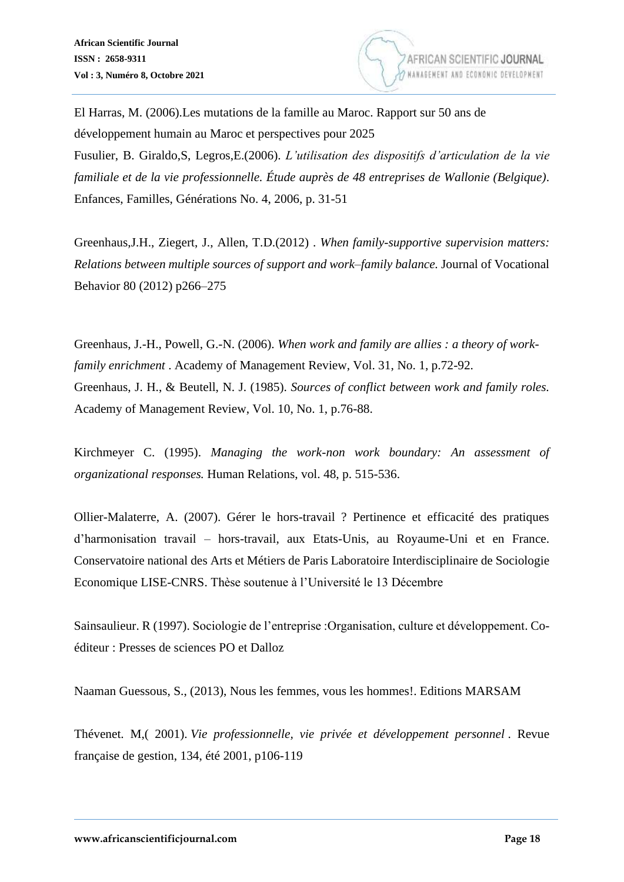

El Harras, M. (2006).Les mutations de la famille au Maroc. Rapport sur 50 ans de développement humain au Maroc et perspectives pour 2025 Fusulier, B. Giraldo,S, Legros,E.(2006). *L'utilisation des dispositifs d'articulation de la vie* 

*familiale et de la vie professionnelle. Étude auprès de 48 entreprises de Wallonie (Belgique)*. Enfances, Familles, Générations No. 4, 2006, p. 31-51

Greenhaus,J.H., Ziegert, J., Allen, T.D.(2012) . *When family-supportive supervision matters: Relations between multiple sources of support and work–family balance.* Journal of Vocational Behavior 80 (2012) p266–275

Greenhaus, J.-H., Powell, G.-N. (2006). *When work and family are allies : a theory of workfamily enrichment* . Academy of Management Review, Vol. 31, No. 1, p.72-92. Greenhaus, J. H., & Beutell, N. J. (1985). *Sources of conflict between work and family roles.*  Academy of Management Review, Vol. 10, No. 1, p.76-88.

Kirchmeyer C. (1995). *Managing the work-non work boundary: An assessment of organizational responses.* Human Relations, vol. 48, p. 515-536.

Ollier-Malaterre, A. (2007). Gérer le hors-travail ? Pertinence et efficacité des pratiques d'harmonisation travail – hors-travail, aux Etats-Unis, au Royaume-Uni et en France. Conservatoire national des Arts et Métiers de Paris Laboratoire Interdisciplinaire de Sociologie Economique LISE-CNRS. Thèse soutenue à l'Université le 13 Décembre

Sainsaulieur. R (1997). Sociologie de l'entreprise :Organisation, culture et développement. Coéditeur : Presses de sciences PO et Dalloz

Naaman Guessous, S., (2013), Nous les femmes, vous les hommes!. Editions MARSAM

Thévenet. M,( 2001). *Vie professionnelle, vie privée et développement personnel* . Revue française de gestion, 134, été 2001, p106-119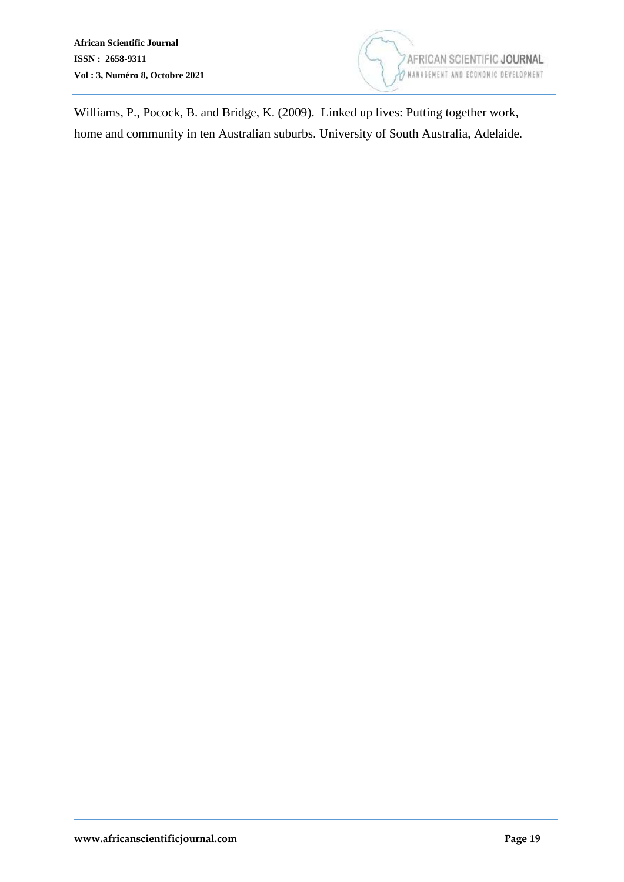

Williams, P., Pocock, B. and Bridge, K. (2009). Linked up lives: Putting together work, home and community in ten Australian suburbs. University of South Australia, Adelaide.